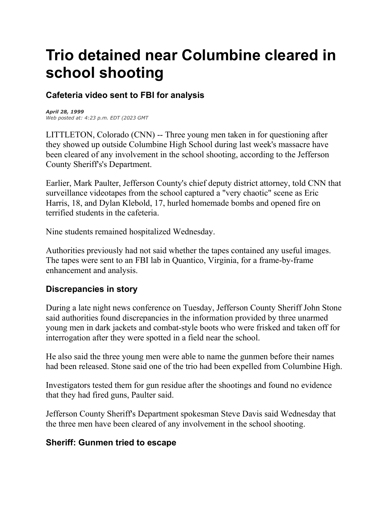# **Trio detained near Columbine cleared in school shooting**

## **Cafeteria video sent to FBI for analysis**

*April 28, 1999 Web posted at: 4:23 p.m. EDT (2023 GMT*

LITTLETON, Colorado (CNN) -- Three young men taken in for questioning after they showed up outside Columbine High School during last week's massacre have been cleared of any involvement in the school shooting, according to the Jefferson County Sheriff's's Department.

Earlier, Mark Paulter, Jefferson County's chief deputy district attorney, told CNN that surveillance videotapes from the school captured a "very chaotic" scene as Eric Harris, 18, and Dylan Klebold, 17, hurled homemade bombs and opened fire on terrified students in the cafeteria.

Nine students remained hospitalized Wednesday.

Authorities previously had not said whether the tapes contained any useful images. The tapes were sent to an FBI lab in Quantico, Virginia, for a frame-by-frame enhancement and analysis.

### **Discrepancies in story**

During a late night news conference on Tuesday, Jefferson County Sheriff John Stone said authorities found discrepancies in the information provided by three unarmed young men in dark jackets and combat-style boots who were frisked and taken off for interrogation after they were spotted in a field near the school.

He also said the three young men were able to name the gunmen before their names had been released. Stone said one of the trio had been expelled from Columbine High.

Investigators tested them for gun residue after the shootings and found no evidence that they had fired guns, Paulter said.

Jefferson County Sheriff's Department spokesman Steve Davis said Wednesday that the three men have been cleared of any involvement in the school shooting.

### **Sheriff: Gunmen tried to escape**